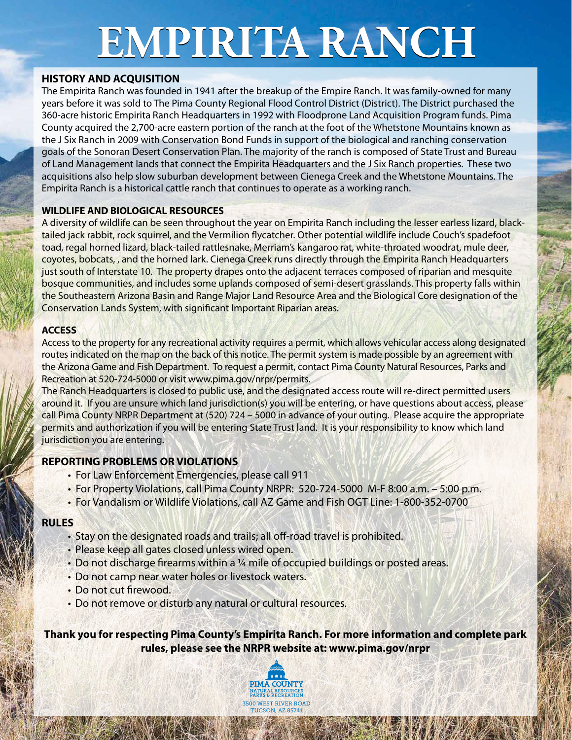# **EMPIRITA RANCH**

# **HISTORY AND ACQUISITION**

The Empirita Ranch was founded in 1941 after the breakup of the Empire Ranch. It was family-owned for many years before it was sold to The Pima County Regional Flood Control District (District). The District purchased the 360-acre historic Empirita Ranch Headquarters in 1992 with Floodprone Land Acquisition Program funds. Pima County acquired the 2,700-acre eastern portion of the ranch at the foot of the Whetstone Mountains known as the J Six Ranch in 2009 with Conservation Bond Funds in support of the biological and ranching conservation goals of the Sonoran Desert Conservation Plan. The majority of the ranch is composed of State Trust and Bureau of Land Management lands that connect the Empirita Headquarters and the J Six Ranch properties. These two acquisitions also help slow suburban development between Cienega Creek and the Whetstone Mountains. The Empirita Ranch is a historical cattle ranch that continues to operate as a working ranch.

#### **WILDLIFE AND BIOLOGICAL RESOURCES**

A diversity of wildlife can be seen throughout the year on Empirita Ranch including the lesser earless lizard, blacktailed jack rabbit, rock squirrel, and the Vermilion flycatcher. Other potential wildlife include Couch's spadefoot toad, regal horned lizard, black-tailed rattlesnake, Merriam's kangaroo rat, white-throated woodrat, mule deer, coyotes, bobcats, , and the horned lark. Cienega Creek runs directly through the Empirita Ranch Headquarters just south of Interstate 10. The property drapes onto the adjacent terraces composed of riparian and mesquite bosque communities, and includes some uplands composed of semi-desert grasslands. This property falls within the Southeastern Arizona Basin and Range Major Land Resource Area and the Biological Core designation of the Conservation Lands System, with significant Important Riparian areas.

#### **ACCESS**

Access to the property for any recreational activity requires a permit, which allows vehicular access along designated routes indicated on the map on the back of this notice. The permit system is made possible by an agreement with the Arizona Game and Fish Department. To request a permit, contact Pima County Natural Resources, Parks and Recreation at 520-724-5000 or visit www.pima.gov/nrpr/permits.

The Ranch Headquarters is closed to public use, and the designated access route will re-direct permitted users around it. If you are unsure which land jurisdiction(s) you will be entering, or have questions about access, please call Pima County NRPR Department at (520) 724 – 5000 in advance of your outing. Please acquire the appropriate permits and authorization if you will be entering State Trust land. It is your responsibility to know which land jurisdiction you are entering.

## **REPORTING PROBLEMS OR VIOLATIONS**

- For Law Enforcement Emergencies, please call 911
- For Property Violations, call Pima County NRPR: 520-724-5000 M-F 8:00 a.m. 5:00 p.m.
- For Vandalism or Wildlife Violations, call AZ Game and Fish OGT Line: 1-800-352-0700

## **RULES**

- Stay on the designated roads and trails; all off-road travel is prohibited.
- Please keep all gates closed unless wired open.
- Do not discharge firearms within a ¼ mile of occupied buildings or posted areas.
- Do not camp near water holes or livestock waters.
- Do not cut firewood.
- Do not remove or disturb any natural or cultural resources.

**Thank you for respecting Pima County's Empirita Ranch. For more information and complete park rules, please see the NRPR website at: www.pima.gov/nrpr**